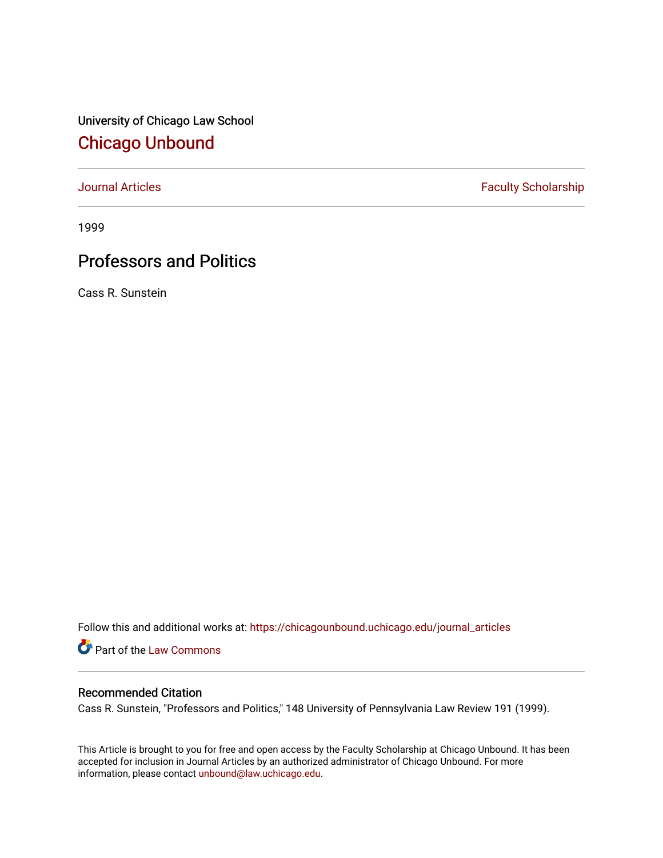University of Chicago Law School [Chicago Unbound](https://chicagounbound.uchicago.edu/)

[Journal Articles](https://chicagounbound.uchicago.edu/journal_articles) **Faculty Scholarship Faculty Scholarship** 

1999

# Professors and Politics

Cass R. Sunstein

Follow this and additional works at: [https://chicagounbound.uchicago.edu/journal\\_articles](https://chicagounbound.uchicago.edu/journal_articles?utm_source=chicagounbound.uchicago.edu%2Fjournal_articles%2F8523&utm_medium=PDF&utm_campaign=PDFCoverPages) 

Part of the [Law Commons](http://network.bepress.com/hgg/discipline/578?utm_source=chicagounbound.uchicago.edu%2Fjournal_articles%2F8523&utm_medium=PDF&utm_campaign=PDFCoverPages)

### Recommended Citation

Cass R. Sunstein, "Professors and Politics," 148 University of Pennsylvania Law Review 191 (1999).

This Article is brought to you for free and open access by the Faculty Scholarship at Chicago Unbound. It has been accepted for inclusion in Journal Articles by an authorized administrator of Chicago Unbound. For more information, please contact [unbound@law.uchicago.edu](mailto:unbound@law.uchicago.edu).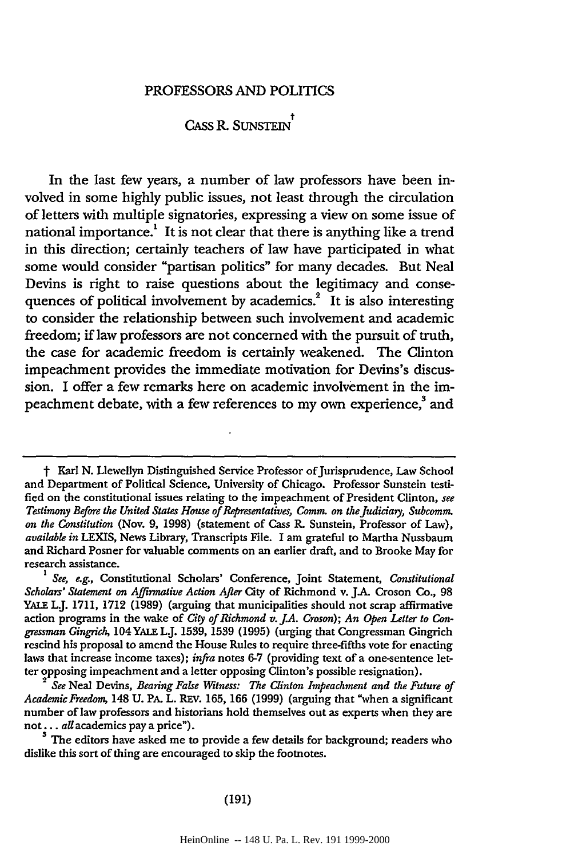### PROFESSORS AND POLITICS

## **CASS** R. **SUNSTEIN**

In the last few years, a number of law professors have been involved in some highly public issues, not least through the circulation of letters with multiple signatories, expressing a view on some issue of national importance.<sup>1</sup> It is not clear that there is anything like a trend in this direction; certainly teachers of law have participated in what some would consider "partisan politics" for many decades. But Neal Devins is right to raise questions about the legitimacy and conse quences of political involvement by academics.<sup>2</sup> It is also interesting to consider the relationship between such involvement and academic freedom; if law professors are not concerned with the pursuit of truth, the case for academic freedom is certainly weakened. The Clinton impeachment provides the immediate motivation for Devins's discussion. I offer a few remarks here on academic involvement in the impeachment debate, with a few references to my own experience,<sup>3</sup> and

<sup>&</sup>lt;sup>†</sup> Karl N. Llewellyn Distinguished Service Professor of Jurisprudence, Law School and Department of Political Science, University of Chicago. Professor Sunstein testified on the constitutional issues relating to the impeachment of President Clinton, see *Testimony Before the United States House of Representatives, Comm. on the Judiciay, Subcomm. on the Constitution* (Nov. 9, 1998) (statement of Cass R. Sunstein, Professor of Law), *available in* LEXIS, News Library, Transcripts File. I am grateful to Martha Nussbaum and Richard Posner for valuable comments on an earlier draft, and to Brooke May for research assistance.

*I See, e.g.,* Constitutional Scholars' Conference, Joint Statement, *Constitutional Scholars' Statement on Affirmative Action After* City of Richmond v. **JA.** Croson Co., **98** YALE L.J. **1711, 1712 (1989)** (arguing that municipalities should not scrap affirmative action programs in the wake of *City of Richmond v. J.A. Croson); An Open Letter to Congressman Gingrich,* 104 YALE L.J. **1539, 1539 (1995)** (urging that Congressman Gingrich rescind his proposal to amend the House Rules to require three-fifths vote for enacting laws that increase income taxes); *infra* notes **6-7** (providing text of a one-sentence letter opposing impeachment and a letter opposing Clinton's possible resignation).

*See* Neal Devins, *Bearing False Witness: The Clinton Impeachment and the Future of Academic Freedom,* 148 **U.** PA. L. REV. **165, 166 (1999)** (arguing that "when a significant number of law professors and historians hold themselves out as experts when they are **not...** allacademics pay a price").

**<sup>3</sup>**The editors have asked me to provide a few details for background; readers who dislike this sort of thing are encouraged to skip the footnotes.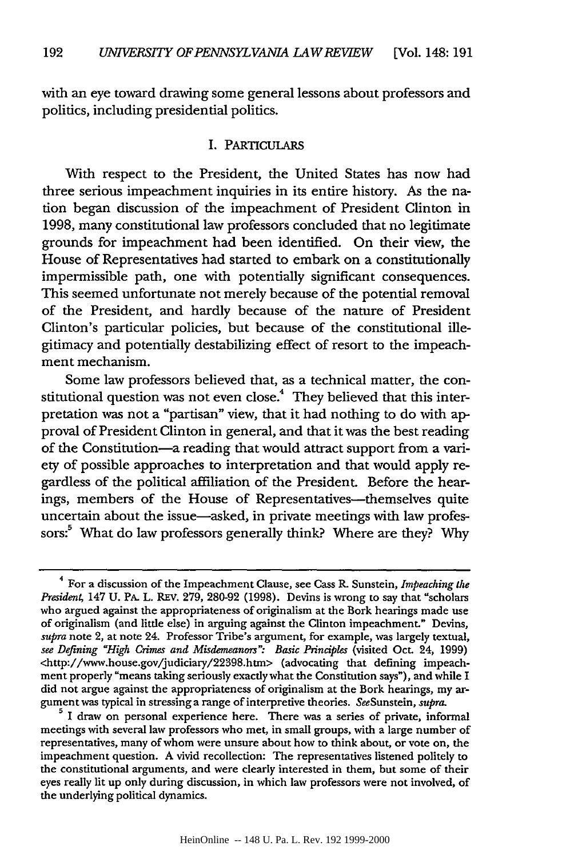with an eye toward drawing some general lessons about professors and politics, including presidential politics.

#### I. PARTICULARS

With respect to the President, the United States has now had three serious impeachment inquiries in its entire history. As the nation began discussion of the impeachment of President Clinton in 1998, many constitutional law professors concluded that no legitimate grounds for impeachment had been identified. On their view, the House of Representatives had started to embark on a constitutionally impermissible path, one with potentially significant consequences. This seemed unfortunate not merely because of the potential removal of the President, and hardly because of the nature of President Clinton's particular policies, but because of the constitutional illegitimacy and potentially destabilizing effect of resort to the impeachment mechanism.

Some law professors believed that, as a technical matter, the constitutional question was not even close.<sup>4</sup> They believed that this interpretation was not a "partisan" view, that it had nothing to do with approval of President Clinton in general, and that it was the best reading of the Constitution-a reading that would attract support from a variety of possible approaches to interpretation and that would apply regardless of the political affiliation of the President. Before the hearings, members of the House of Representatives-themselves quite uncertain about the issue-asked, in private meetings with law professors:<sup>5</sup> What do law professors generally think? Where are they? Why

<sup>4</sup> For a discussion of the Impeachment Clause, see Cass R. Sunstein, *Impeaching the President,* 147 U. PA. L. REv. 279, 280-92 (1998). Devins is wrong to say that "scholars who argued against the appropriateness of originalism at the Bork hearings made use of originalism (and little else) in arguing against the Clinton impeachment." Devins, *supra* note 2, at note 24. Professor Tribe's argument, for example, was largely textual, *see Defining "High Crimes and Misdemeanors": Basic Principles* (visited Oct. 24, 1999) <http://www.house.gov/judiciary/22398.htn> (advocating that defining impeachment properly "means taking seriously exactly what the Constitution says"), and while I did not argue against the appropriateness of originalism at the Bork hearings, my argument was typical in stressing a range of interpretive theories. SeeSunstein, *supra.* **<sup>5</sup>**I draw on personal experience here. There was a series of private, informal

meetings with several law professors who met, in small groups, with a large number of representatives, many of whom were unsure about how to think about, or vote on, the impeachment question. A vivid recollection: The representatives listened politely to the constitutional arguments, and were clearly interested in them, but some of their eyes really lit up only during discussion, in which law professors were not involved, of the underlying political dynamics.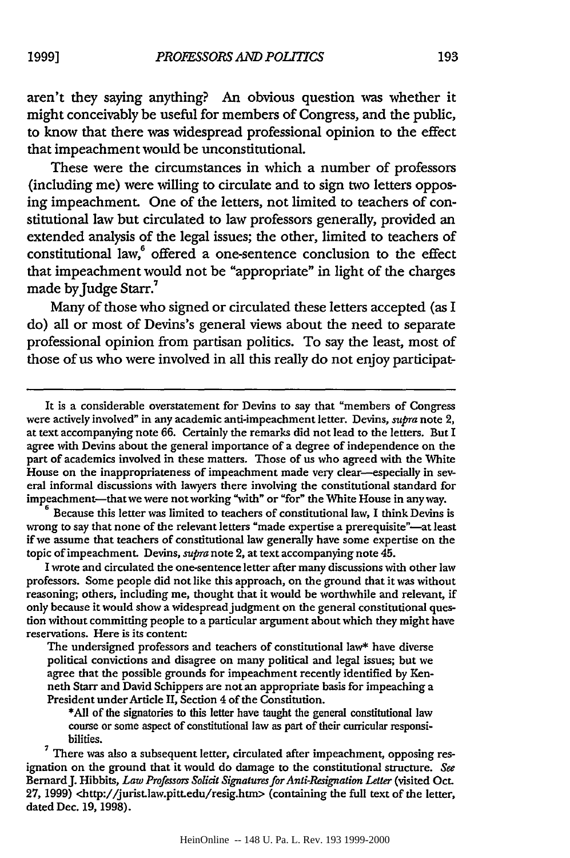aren't they saying anything? An obvious question was whether it might conceivably be useful for members of Congress, and the public, to know that there was widespread professional opinion to the effect that impeachment would be unconstitutional.

These were the circumstances in which a number of professors (including me) were willing to circulate and to sign two letters opposing impeachment. One of the letters, not limited to teachers of constitutional law but circulated to law professors generally, provided an extended analysis of the legal issues; the other, limited to teachers of constitutional law,<sup>6</sup> offered a one-sentence conclusion to the effect that impeachment would not be "appropriate" in light of the charges made by Judge Starr.<sup>7</sup>

Many of those who signed or circulated these letters accepted (as I do) all or most of Devins's general views about the need to separate professional opinion from partisan politics. To say the least, most of those of us who were involved in all this really do not enjoy participat-

Because this letter was limited to teachers of constitutional law, I think Devins is wrong to say that none of the relevant letters "made expertise a prerequisite"—at least if we assume that teachers of constitutional law generally have some expertise on the topic of impeachment. Devins, *supra* note 2, at text accompanying note 45.

I wrote and circulated the one-sentence letter after many discussions with other law professors. Some people did not like this approach, on the ground that it was without reasoning; others, including me, thought that it would be worthwhile and relevant, if only because it would show a widespread judgment on the general constitutional question without committing people to a particular argument about which they might have reservations. Here is its content:

The undersigned professors and teachers of constitutional law\* have diverse political convictions and disagree on many political and legal issues; but we agree that the possible grounds for impeachment recently identified by Kenneth Starr and David Schippers are not an appropriate basis for impeaching a President under Article II, Section 4 of the Constitution.

**\*All** of the signatories to this letter have taught the general constitutional law course or some aspect of constitutional law as part of their curricular responsibilities.

 $7$  There was also a subsequent letter, circulated after impeachment, opposing resignation on the ground that it would do damage to the constitutional structure. *See* BernardJ. Hibbits, *Law Professors Solicit Signatures for Anti-Resignation Letter* (visited Oct. 27, 1999) <http://juritlaw.pitLedu/resig.htm> (containing the full text of the letter, dated Dec. 19, 1998).

It is a considerable overstatement for Devins to say that "members of Congress were actively involved" in any academic anti-impeachment letter. Devins, *supra* note 2, at text accompanying note 66. Certainly the remarks did not lead to the letters. But I agree with Devins about the general importance of a degree of independence on the part of academics involved in these matters. Those of us who agreed with the White House on the inappropriateness of impeachment made very clear-especially in several informal discussions with lawyers there involving the constitutional standard for impeachment-that we were not working "with" or "for" the White House in any way.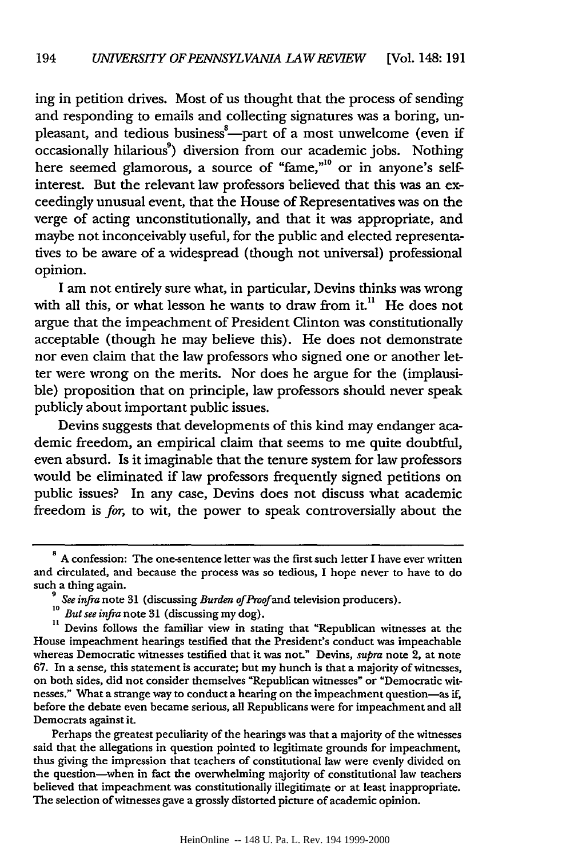ing in petition drives. Most of us thought that the process of sending and responding to emails and collecting signatures was a boring, unpleasant, and tedious business<sup>8</sup>-part of a most unwelcome (even if  $\alpha$  occasionally hilarious<sup>9</sup>) diversion from our academic jobs. Nothing here seemed glamorous, a source of "fame,"<sup>10</sup> or in anyone's selfinterest. But the relevant law professors believed that this was an exceedingly unusual event, that the House of Representatives was on the verge of acting unconstitutionally, and that it was appropriate, and maybe not inconceivably useful, for the public and elected representatives to be aware of a widespread (though not universal) professional opinion.

I am not entirely sure what, in particular, Devins thinks was wrong with all this, or what lesson he wants to draw from  $it<sup>11</sup>$ . He does not argue that the impeachment of President Clinton was constitutionally acceptable (though he may believe this). He does not demonstrate nor even claim that the law professors who signed one or another letter were wrong on the merits. Nor does he argue for the (implausible) proposition that on principle, law professors should never speak publicly about important public issues.

Devins suggests that developments of this kind may endanger academic freedom, an empirical claim that seems to me quite doubtful, even absurd. Is it imaginable that the tenure system for law professors would be eliminated if law professors frequently signed petitions on public issues? In any case, Devins does not discuss what academic freedom is for, to wit, the power to speak controversially about the

Perhaps the greatest peculiarity of the hearings was that a majority of the witnesses said that the allegations in question pointed to legitimate grounds for impeachment, thus giving the impression that teachers of constitutional law were evenly divided on the question-when in fact the overwhelming majority of constitutional law teachers believed that impeachment was constitutionally illegitimate or at least inappropriate. The selection of witnesses gave a grossly distorted picture of academic opinion.

**<sup>8</sup>** A confession: The one-sentence letter was the first such letter I have ever written and circulated, and because the process was so tedious, I hope never to have to do

such a thing again.<br>
<sup>9</sup> See infra note 31 (discussing Burden of Proof and television producers).<br>
<sup>10</sup> But see infra note 31 (discussing my dog).<br>
<sup>11</sup> Devins follows the familiar view in stating that "Republican witness House impeachment hearings testified that the President's conduct was impeachable whereas Democratic witnesses testified that it was not." Devins, *supra* note 2, at note 67. In a sense, this statement is accurate; but my hunch is that a majority of witnesses, on both sides, did not consider themselves "Republican witnesses" or "Democratic witnesses." What a strange way to conduct a hearing on the impeachment question-as if, before the debate even became serious, all Republicans were for impeachment and all Democrats against it.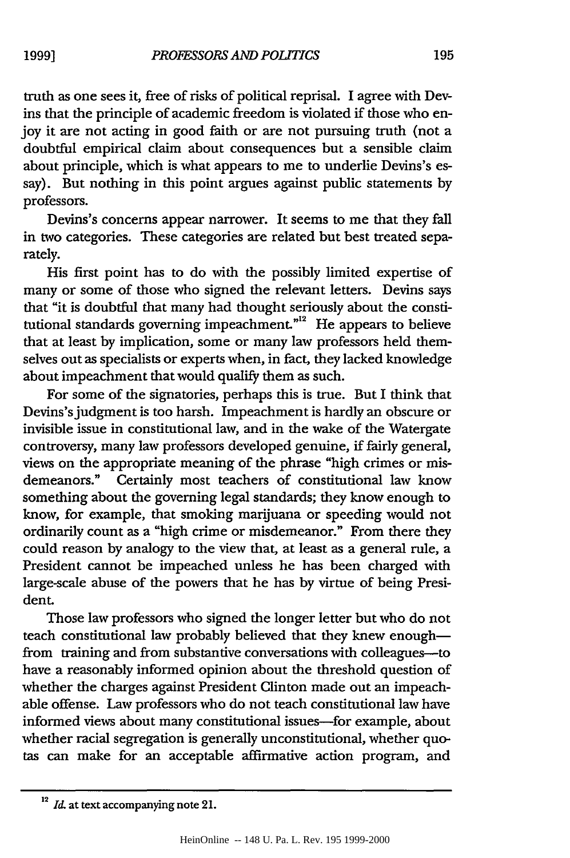truth as one sees it, free of risks of political reprisal. I agree with Devins that the principle of academic freedom is violated if those who enjoy it are not acting in good faith or are not pursuing truth (not a doubtful empirical claim about consequences but a sensible claim about principle, which is what appears to me to underlie Devins's essay). But nothing in this point argues against public statements by professors.

Devins's concerns appear narrower. It seems to me that they fall in two categories. These categories are related but best treated separately.

His first point has to do with the possibly limited expertise of many or some of those who signed the relevant letters. Devins says that "it is doubtful that many had thought seriously about the constitutional standards governing impeachment. $n^{12}$  He appears to believe that at least by implication, some or many law professors held themselves out as specialists or experts when, in fact, they lacked knowledge about impeachment that would qualify them as such.

For some of the signatories, perhaps this is true. But I think that Devins'sjudgment is too harsh. Impeachment is hardly an obscure or invisible issue in constitutional law, and in the wake of the Watergate controversy, many law professors developed genuine, if fairly general, views on the appropriate meaning of the phrase "high crimes or misdemeanors." Certainly most teachers of constitutional law know something about the governing legal standards; they know enough to know, for example, that smoking marijuana or speeding would not ordinarily count as a "high crime or misdemeanor." From there they could reason by analogy to the view that, at least as a general rule, a President cannot be impeached unless he has been charged with large-scale abuse of the powers that he has by virtue of being President.

Those law professors who signed the longer letter but who do not teach constitutional law probably believed that they knew enoughfrom training and from substantive conversations with colleagues-to have a reasonably informed opinion about the threshold question of whether the charges against President Clinton made out an impeachable offense. Law professors who do not teach constitutional law have informed views about many constitutional issues-for example, about whether racial segregation is generally unconstitutional, whether quotas can make for an acceptable affirmative action program, and

<sup>&</sup>lt;sup>12</sup> *Id.* at text accompanying note 21.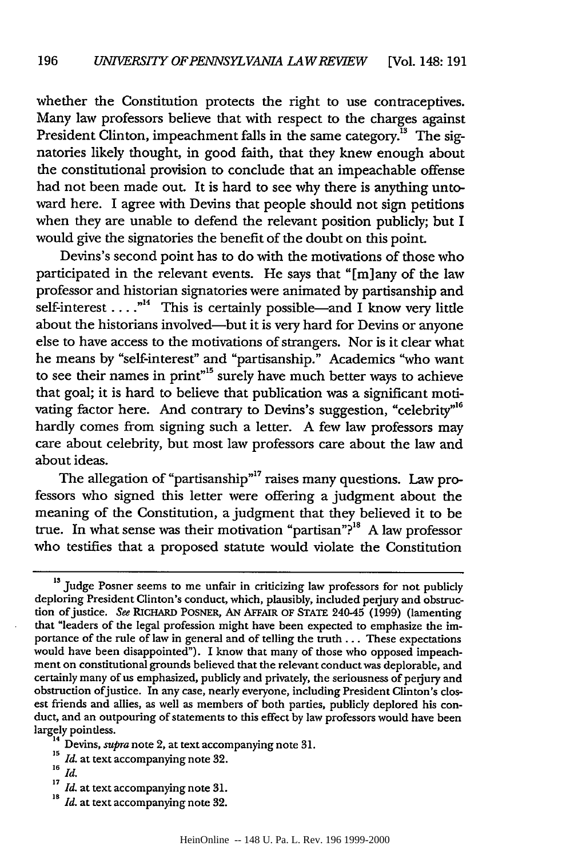whether the Constitution protects the right to use contraceptives. Many law professors believe that with respect to the charges against President Clinton, impeachment falls in the same category.<sup>13</sup> The signatories likely thought, in good faith, that they knew enough about the constitutional provision to conclude that an impeachable offense had not been made out. It is hard to see why there is anything untoward here. I agree with Devins that people should not sign petitions when they are unable to defend the relevant position publicly; but I would give the signatories the benefit of the doubt on this point.

Devins's second point has to do with the motivations of those who participated in the relevant events. He says that "[m]any of the law professor and historian signatories were animated by partisanship and self-interest ....<sup>"14</sup> This is certainly possible—and I know very little about the historians involved--but it is very hard for Devins or anyone else to have access to the motivations of strangers. Nor is it clear what he means by "self-interest" and "partisanship." Academics "who want to see their names in print"<sup> $5$ </sup> surely have much better ways to achieve that goal; it is hard to believe that publication was a significant motivating factor here. And contrary to Devins's suggestion, "celebrity"<sup>16</sup> hardly comes from signing such a letter. A few law professors may care about celebrity, but most law professors care about the law and about ideas.

The allegation of "partisanship"<sup>17</sup> raises many questions. Law professors who signed this letter were offering a judgment about the meaning of the Constitution, a judgment that they believed it to be true. In what sense was their motivation "partisan"?<sup>18</sup> A law professor who testifies that a proposed statute would violate the Constitution

<sup>&</sup>lt;sup>13</sup> Judge Posner seems to me unfair in criticizing law professors for not publicly deploring President Clinton's conduct, which, plausibly, included perjury and obstruction ofjustice. *See* RICHARD POSNER, **AN** AFFAIR OF STATE 240-45 (1999) (lamenting that "leaders of the legal profession might have been expected to emphasize the importance of the rule of law in general and of telling the truth ... These expectations would have been disappointed"). I know that many of those who opposed impeachment on constitutional grounds believed that the relevant conduct was deplorable, and certainly many of us emphasized, publicly and privately, the seriousness of perjury and obstruction ofjustice. In any case, nearly everyone, including President Clinton's closest friends and allies, as well as members of both parties, publicly deplored his conduct, and an outpouring of statements to this effect by law professors would have been largely pointless.

**<sup>14</sup>**Devins, supra note 2, at text accompanying note 31.  $\frac{15}{15}$  *II* at text accompanying  $\frac{15}{15}$  *II* at text 32.

**<sup>16</sup>***Id.*

*<sup>17</sup>Id.* at text accompanying note 31. **is** *Id.* at text accompanying note **32.**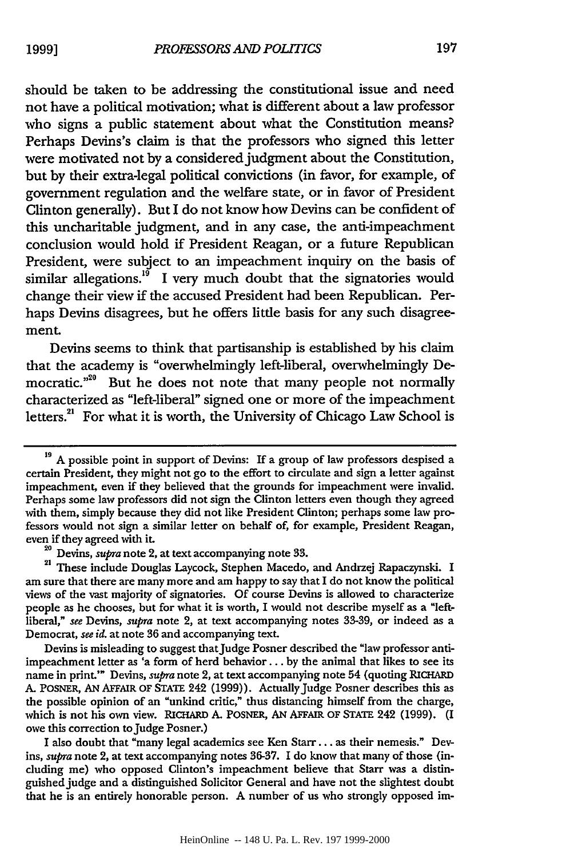should be taken to be addressing the constitutional issue and need not have a political motivation; what is different about a law professor who signs a public statement about what the Constitution means? Perhaps Devins's claim is that the professors who signed this letter were motivated not by a considered judgment about the Constitution, but by their extra-legal political convictions (in favor, for example, of government regulation and the welfare state, or in favor of President Clinton generally). But I do not know how Devins can be confident of this uncharitable judgment, and in any case, the anti-impeachment conclusion would hold if President Reagan, or a future Republican President, were subject to an impeachment inquiry on the basis of similar allegations.<sup>19</sup> I very much doubt that the signatories would change their view if the accused President had been Republican. Perhaps Devins disagrees, but he offers little basis for any such disagreement.

Devins seems to think that partisanship is established by his claim that the academy is "overwhelmingly left-liberal, overwhelmingly Democratic."<sup>20</sup> But he does not note that many people not normally characterized as "left-liberal" signed one or more of the impeachment letters.<sup>21</sup> For what it is worth, the University of Chicago Law School is

I also doubt that "many legal academics see Ken Starr... as their nemesis." Devins, *supra* note 2, at text accompanying notes 36-37. I do know that many of those (including me) who opposed Clinton's impeachment believe that Starr was a distinguished judge and a distinguished Solicitor General and have not the slightest doubt that he is an entirely honorable person. A number of us who strongly opposed im-

<sup>&</sup>lt;sup>19</sup> A possible point in support of Devins: If a group of law professors despised a certain President, they might not go to the effort to circulate and sign a letter against impeachment, even if they believed that the grounds for impeachment were invalid. Perhaps some law professors did not sign the Clinton letters even though they agreed with them, simply because they did not like President Clinton; perhaps some law professors would not sign a similar letter on behalf of, for example, President Reagan, even if they agreed with it. **<sup>20</sup>**Devins, *supra* note 2, at text accompanying note 33. 21 These include Douglas Laycock, Stephen Macedo, and Andrzej Rapaczynski. I

am sure that there are many more and am happy to say that I do not know the political views of the vast majority of signatories. Of course Devins is allowed to characterize people as he chooses, but for what it is worth, I would not describe myself as a "leftliberal," *see* Devins, *supra* note 2, at text accompanying notes 33-39, or indeed as a Democrat, *see id.* at note 36 and accompanying text.

Devins is misleading to suggest thatJudge Posner described the "law professor antiimpeachment letter as 'a form of herd behavior... by the animal that likes to see its name in print.'" Devins, *supra* note 2, at text accompanying note 54 (quoting RICHARD A. POSNER, AN AFFAIR OF STATE 242 (1999)). ActuallyJudge Posner describes this as the possible opinion of an "unkind critic," thus distancing himself from the charge, which is not his own view. RICHARD A. POSNER, AN AFFAIR **OF STATE** 242 (1999). (I owe this correction to judge Posner.)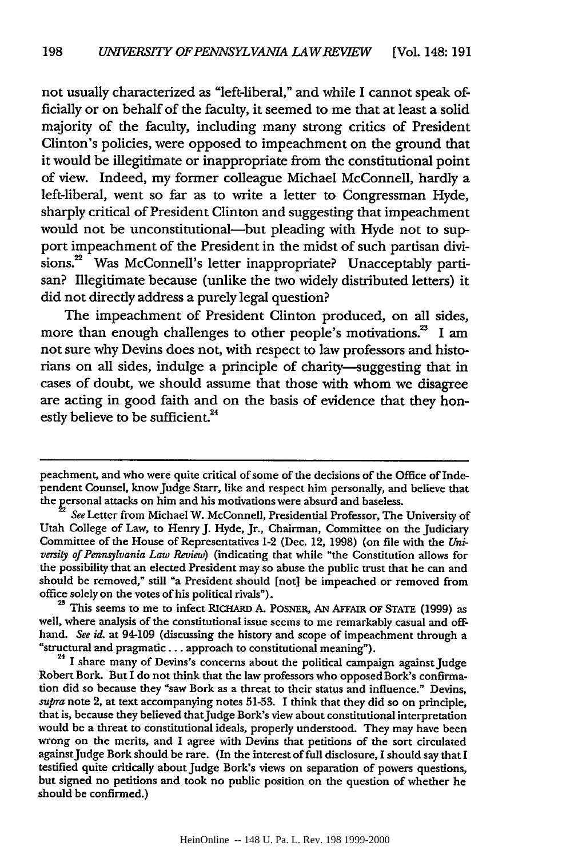not usually characterized as "left-liberal," and while I cannot speak officially or on behalf of the faculty, it seemed to me that at least a solid majority of the faculty, including many strong critics of President Clinton's policies, were opposed to impeachment on the ground that it would be illegitimate or inappropriate from the constitutional point of view. Indeed, my former colleague Michael McConnell, hardly a left-liberal, went so far as to write a letter to Congressman Hyde, sharply critical of President Clinton and suggesting that impeachment would not be unconstitutional-but pleading with Hyde not to support impeachment of the President in the midst of such partisan divisions.<sup>22</sup> Was McConnell's letter inappropriate? Unacceptably partisan? Illegitimate because (unlike the two widely distributed letters) it did not directly address a purely legal question?

The impeachment of President Clinton produced, on all sides, more than enough challenges to other people's motivations.<sup>23</sup> I am not sure why Devins does not, with respect to law professors and historians on all sides, indulge a principle of charity-suggesting that in cases of doubt, we should assume that those with whom we disagree are acting in good faith and on the basis of evidence that they honestly believe to be sufficient.<sup>24</sup>

<sup>23</sup> This seems to me to infect RICHARD A. POSNER, AN AFFAIR OF STATE (1999) as well, where analysis of the constitutional issue seems to me remarkably casual and offhand. *See id.* at 94-109 (discussing the history and scope of impeachment through a "structural and pragmatic... approach to constitutional meaning").

**<sup>24</sup>**I share many of Devins's concerns about the political campaign against Judge Robert Bork. But I do not think that the law professors who opposed Bork's confirmation did so because they "saw Bork as a threat to their status and influence." Devins, *supra* note 2, at text accompanying notes 51-53. I think that they did so on principle, that is, because they believed thatJudge Bork's view about constitutional interpretation would be a threat to constitutional ideals, properly understood. They may have been wrong on the merits, and I agree with Devins that petitions of the sort circulated againstJudge Bork should be rare. (In the interest of full disclosure, I should say that I testified quite critically about Judge Bork's views on separation of powers questions, but signed no petitions and took no public position on the question of whether he should be confirmed.)

peachment, and who were quite critical of some of the decisions of the Office of Independent Counsel, knowJudge Starr, like and respect him personally, and believe that the personal attacks on him and his motivations were absurd and baseless.

*See* Letter from Michael W. McConnell, Presidential Professor, The University of Utah College of Law, to Henry J. Hyde, Jr., Chairman, Committee on the Judiciary Committee of the House of Representatives 1-2 (Dec. 12, 1998) (on file with the *University of Pennsylvania Law Review)* (indicating that while "the Constitution allows for the possibility that an elected President may so abuse the public trust that he can and should be removed," still "a President should [not] be impeached or removed from office solely on the votes of his political rivals").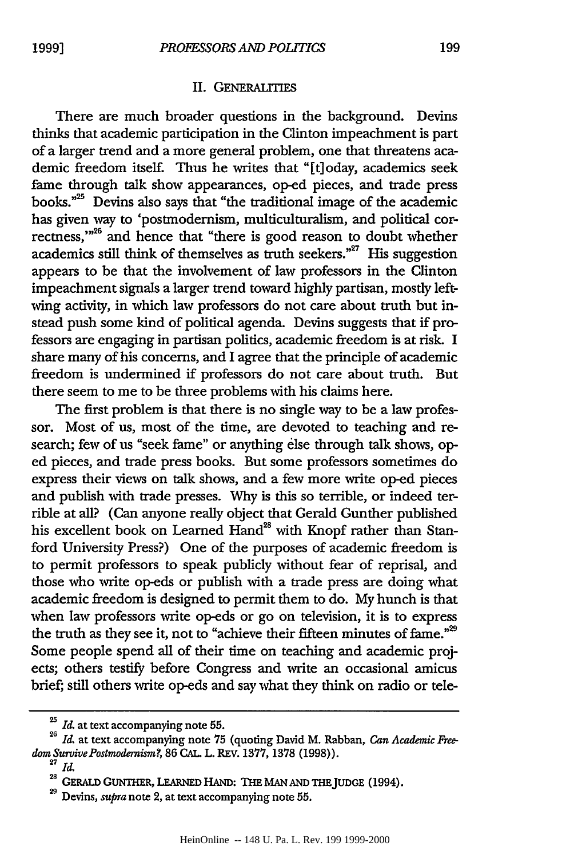#### II. GENERALITIES

There are much broader questions in the background. Devins thinks that academic participation in the Clinton impeachment is part of a larger trend and a more general problem, one that threatens academic freedom itself. Thus he writes that "[t]oday, academics seek fame through talk show appearances, op-ed pieces, and trade press books."<sup>25</sup> Devins also says that "the traditional image of the academic has given way to 'postmodernism, multiculturalism, and political correctness,"<sup>26</sup> and hence that "there is good reason to doubt whether academics still think of themselves as truth seekers." $27$  His suggestion appears to be that the involvement of law professors in the Clinton impeachment signals a larger trend toward highly partisan, mostly leftwing activity, in which law professors do not care about truth but instead push some kind of political agenda. Devins suggests that if professors are engaging in partisan politics, academic freedom is at risk. I share many of his concerns, and I agree that the principle of academic freedom is undermined if professors do not care about truth. But there seem to me to be three problems with his claims here.

The first problem is that there is no single way to be a law professor. Most of us, most of the time, are devoted to teaching and research; few of us "seek fame" or anything else through talk shows, oped pieces, and trade press books. But some professors sometimes do express their views on talk shows, and a few more write op-ed pieces and publish with trade presses. Why is this so terrible, or indeed terrible at all? (Can anyone really object that Gerald Gunther published his excellent book on Learned Hand<sup>28</sup> with Knopf rather than Stanford University Press?) One of the purposes of academic freedom is to permit professors to speak publicly without fear of reprisal, and those who write op-eds or publish with a trade press are doing what academic freedom is designed to permit them to do. My hunch is that when law professors write op-eds or go on television, it is to express the truth as they see it, not to "achieve their fifteen minutes of fame."<sup>29</sup> Some people spend all of their time on teaching and academic projects; others testify before Congress and write an occasional amicus brief; still others write op-eds and say what they think on radio or tele-

*Id.* at text accompanying note **55. <sup>26</sup>***Id.* **at text accompanying** note **75 (quoting David** M. **Rabban,** *Can Academic Freedom SurvivePostmodernism?,* **86** CAL **L. REV. 1377, 1378 (1998)). <sup>27</sup>I.**

**<sup>28</sup>**GERALD **GUNTHER, LEARNED HAND: THE MAN AND THEJUDGE** (1994).

**<sup>29</sup>Devins,** *supra* note 2, at text **accompanying** note **55.**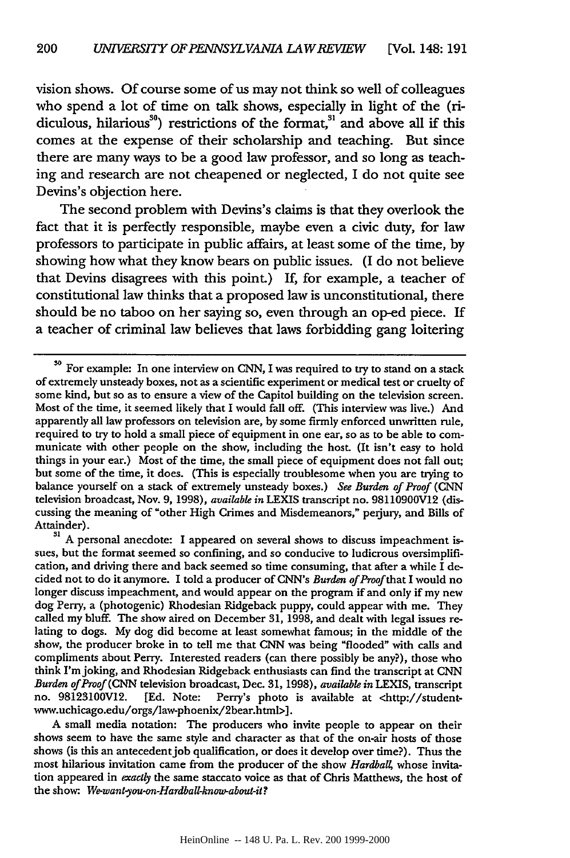vision shows. Of course some of us may not think so well of colleagues who spend a lot of time on talk shows, especially in light of the (ridiculous, hilarious $^{30}$ ) restrictions of the format, $^{31}$  and above all if this comes at the expense of their scholarship and teaching. But since there are many ways to be a good law professor, and so long as teaching and research are not cheapened or neglected, I do not quite see Devins's objection here.

The second problem with Devins's claims is that they overlook the fact that it is perfectly responsible, maybe even a civic duty, for law professors to participate in public affairs, at least some of the time, by showing how what they know bears on public issues. (I do not believe that Devins disagrees with this point.) If, for example, a teacher of constitutional law thinks that a proposed law is unconstitutional, there should be no taboo on her saying so, even through an op-ed piece. If a teacher of criminal law believes that laws forbidding gang loitering

Attainder).<br><sup>31</sup> A personal anecdote: I appeared on several shows to discuss impeachment issues, but the format seemed so confining, and so conducive to ludicrous oversimplification, and driving there and back seemed so time consuming, that after a while I decided not to do it anymore. I told a producer of CNN's *Burden of Proof* that I would no longer discuss impeachment, and would appear on the program if and only if my new dog Perry, a (photogenic) Rhodesian Ridgeback puppy, could appear with me. They called my bluff. The show aired on December **31,** 1998, and dealt with legal issues re- lating to dogs. My dog did become at least somewhat famous; in the middle of the show, the producer broke in to tell me that CNN was being "flooded" with calls and compliments about Perry. Interested readers (can there possibly be any?), those who think I'm joking, and Rhodesian Ridgeback enthusiasts can find the transcript at CNN *Burden of Proof* (CNN television broadcast, Dec. 31, 1998), *available in* LEXIS, transcript no. 98123100V12. [Ed. Note: Perry's photo is available at <http://studentwww.uchicago.edu/orgs/law-phoenix/2bear.html>].

A small media notation: The producers who invite people to appear on their shows seem to have the same style and character as that of the on-air hosts of those shows (is this an antecedentjob qualification, or does it develop over time?). Thus the most hilarious invitation came from the producer of the show *Hardball*, whose invitation appeared in *exactly* the same staccato voice as that of Chris Matthews, the host of the show: *We-want-you-on-Hardball-know-about-it?*

**so** For example: In one interview on **CNN,** I was required to try to stand on a stack of extremely unsteady boxes, not as a scientific experiment or medical test or cruelty of some kind, but so as to ensure a view of the Capitol building on the television screen. Most of the time, it seemed likely that I would fall off. (This interview was live.) And apparently all law professors on television are, by some firmly enforced unwritten rule, required to try to hold a small piece of equipment in one ear, so as to be able to communicate with other people on the show, including the host. (It isn't easy to hold things in your ear.) Most of the time, the small piece of equipment does not fall out; but some of the time, it does. (This is especially troublesome when you are trying to balance yourself on a stack of extremely unsteady boxes.) *See Burden of Proof (CNN* television broadcast, Nov. 9, 1998), *available in* LEXIS transcript no. 98110900V12 (discussing the meaning of "other High Crimes and Misdemeanors," perjury, and Bills of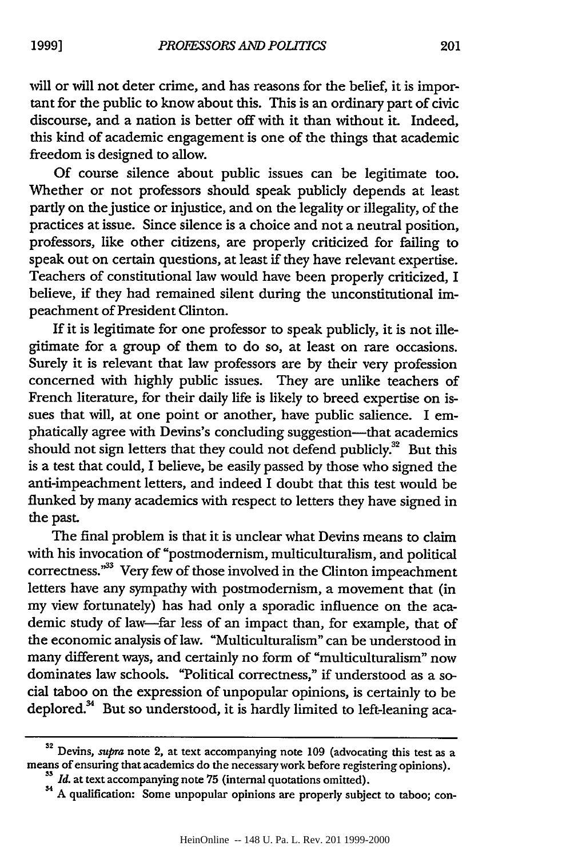will or will not deter crime, and has reasons for the belief, it is important for the public to know about this. This is an ordinary part of civic discourse, and a nation is better off with it than without it. Indeed, this kind of academic engagement is one of the things that academic freedom is designed to allow.

Of course silence about public issues can be legitimate too. Whether or not professors should speak publicly depends at least partly on the justice or injustice, and on the legality or illegality, of the practices at issue. Since silence is a choice and not a neutral position, professors, like other citizens, are properly criticized for failing to speak out on certain questions, at least if they have relevant expertise. Teachers of constitutional law would have been properly criticized, I believe, if they had remained silent during the unconstitutional impeachment of President Clinton.

If it is legitimate for one professor to speak publicly, it is not illegitimate for a group of them to do so, at least on rare occasions. Surely it is relevant that law professors are by their very profession concerned with highly public issues. They are unlike teachers of French literature, for their daily life is likely to breed expertise on issues that will, at one point or another, have public salience. I emphatically agree with Devins's concluding suggestion-that academics should not sign letters that they could not defend publicly. $32$  But this is a test that could, I believe, be easily passed by those who signed the anti-impeachment letters, and indeed I doubt that this test would be flunked by many academics with respect to letters they have signed in the past.

The final problem is that it is unclear what Devins means to claim with his invocation of "postmodernism, multiculturalism, and political correctness."33 Very few of those involved in the Clinton impeachment letters have any sympathy with postmodernism, a movement that (in my view fortunately) has had only a sporadic influence on the academic study of law-far less of an impact than, for example, that of the economic analysis of law. "Multiculturalism" can be understood in many different ways, and certainly no form of "multiculturalism" now dominates law schools. "Political correctness," if understood as a social taboo on the expression of unpopular opinions, is certainly to be deplored.<sup>34</sup> But so understood, it is hardly limited to left-leaning aca-

**1999]**

<sup>32</sup> Devins, supra note 2, at text accompanying note **109** (advocating this test as a means of ensuring that academics do the necessary work before registering opinions).

<sup>&</sup>lt;sup>33</sup> *Id.* at text accompanying note 75 (internal quotations omitted).<br><sup>34</sup> A qualification: Some unpopular opinions are properly subject to taboo; con-